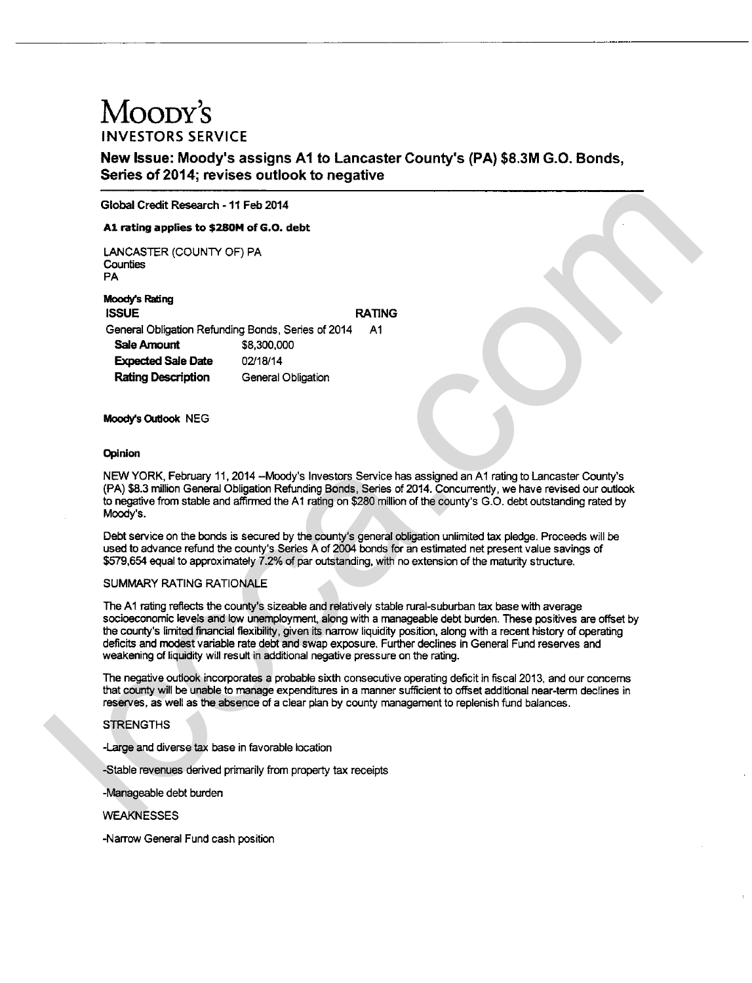## Moody's **INVESTORS SERVICE**

### **New Issue: Moody's assigns A1 to Lancaster County's (PA) \$8.3M G.O. Bonds, Series of 2014; revises outlook to negative**

**Global** Credii **Research** - 11 **Feb** 2014

A1 rating applies to \$280M of G.O. debt

LANCASTER (COUNTY OF) PA **Counties** PA

**Moody's Rating<br>ISSUE RATING** General Obligation Refunding Bonds, Series of 2014 A1 **Sale Amount** \$8,300.000 **Expected Sale Date** 02/18/14 **Rating Description General Obligation** 

#### **Moody's Outlook** NEG

#### **Opinion**

NEW YORK, February 11.2014 -Moody's Investors Service has assigned an A1 rating to Lancaster County's (PA) \$8.3 million General Obligation Refunding Bonds, Series of 2014. Concurrently, we have revised our outlook to negative from stable and affirmed the A1 rating on \$280 million of the county's G.O. debt outstanding rated by Moody's.

Debt service on the bonds is secured by the county's general obligation unlimited **tax** pledge. Proceeds will be used **to** advance refund **the** county's Series A of 2004 bonds for an estimated net present value savings of **\$579,654** equal to approximately 7.2% of par outstanding, with no extension of the maturity structure.

#### SUMMARY RATING RATIONALE

The A1 rating reilects **the** county's sizeable and relatively stable rural-suburban **tax** base with average socioeconomic levels and low unemployment, along with a manageable debt burden. These positives are offset by the county's limited financial flexibility, given its **narrow** liquidity position, along with a recent history of operating deficits and modest variable rate debt and swap exposure. Further declines in General Fund reserves and weakening **of** liquidity will result in additional negative pressure on the rating. Citable Credit Research - 11 Feb 2014<br>All reflects as \$2800 of G.O., debt<br>Lcc/ACSER (COUNTY OF) PA<br>Moody's Celero Counter of Security 2014<br>State Counter of Security 2014<br>State Counter Security 2016<br>State Counter Security 1

The negative outlook incorporates a probable sixth consecutive operating deficit in fiscal 2013, and our concerns that county will **be** unable to manage expenditures in a manner sufficient to offset additional near-term declines in reserves, as well as the absence of a clear plan by county management to replenish fund balances.

#### **STRENGTHS**

-Large and diverse **tax** base in favorable location

-Stable revenues derived primarily from property tax receipts

-Manageable debt burden

#### WEAKNESSES

-Narrow General Fund cash position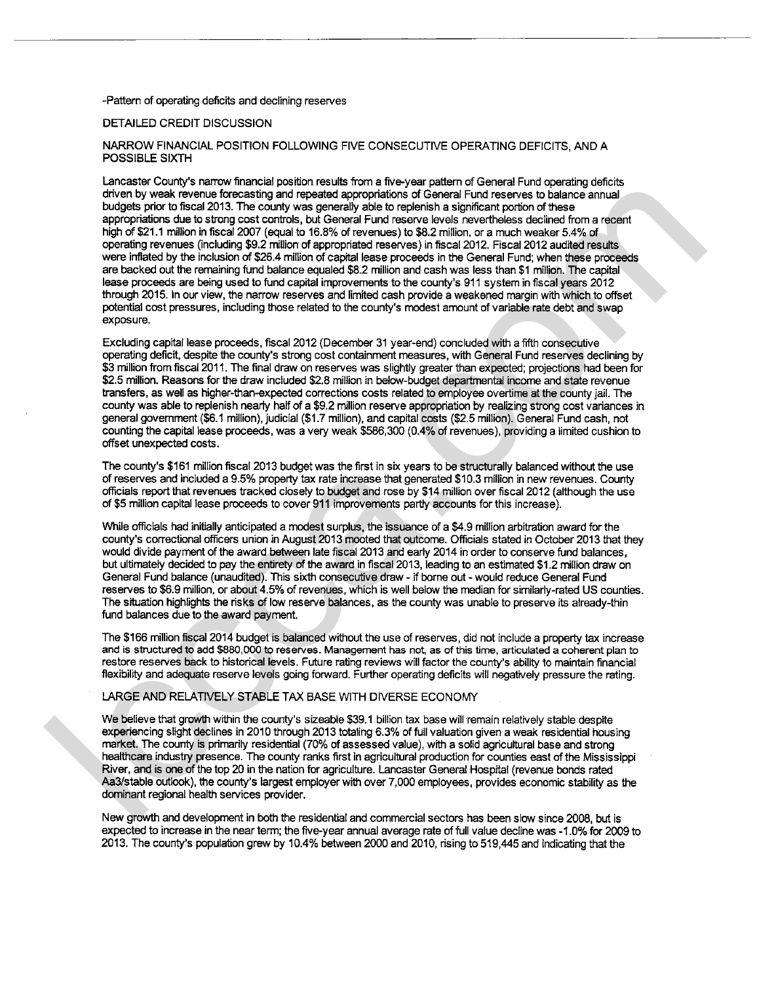#### -Pattern of operating deficits and declining reserves

#### DETAILED CREDIT DISCUSSION

#### NARROW FINANCIAL POSITION FOLLOWING FIVE CONSECUTIVE OPERATING DEFICITS, AND A POSSIBLE SIXTH

Lancaster County's narrow financial position results from a five-year pattern of General Fund operating deficits driven by weak revenue forecasting and repeated appropriations of General Fund reserves to balance annual budgets prior to fiscal 2013. The county was generally able to replenish a significant portion of these appropriations due to strong cost controls, but General Fund reserve levels nevertheless declined from a recent high of \$21.1 million in fiscal 2007 (equal to 16.8% ofrevenues) to \$8.2 million, or a much weaker 5.4% of operating revenues (including \$9.2 million of appropriated reserves) in fiscal 2012. Fiscal 2012 audited results were inflated by the inclusion of \$26.4 million of capital lease proceeds in the General Fund; when these proceeds are backed out the remaining fund balance equaled \$8.2 million and cash was less than \$1 million. The capital lease proceeds are being used to fund capital improvements to the county's 911 system in fiscal years 2012 through 2015. In our view, the narrow reserves and limited cash provide a weakened margin with which to offset potential cost pressures, including those related to the county's modest amount of variable rate debt and swap exposure. dividends to the state interaction of the state of the state of the state of the state of the state of the state of the state of the state of the state of the state of the state of the state of the state of the state of th

Excluding capital lease proceeds, fiscal 2012 (December 31 yearend) concluded with a fifth consecutive operating deficit, despite the county's strong cost containment measures, with General Fund reserves declining by \$3 million from fiscal 2011. The final draw on reserves was slightly greater than expected; projections had been for \$2.5 million. Reasons for the draw included \$2.8 million in below-budget departmental income and state revenue transfers, as well as higher-than-expected corrections costs related to employee overtime at the county jail. The county was able to replenish nearly half of a \$9.2 million reserve appropriation by realizing strong cost variances in general government (\$6.1 million), judicial (\$1.7 million), and capital costs (\$2.5 million). General Fund cash, not counting the capital lease proceeds, was a very weak \$586,300 (0.4% of revenues), providing a limited cushion to offset unexpected costs.

The county's \$161 million fiscal 2013 budget was the first in six years to be structurally balanced without the use of reserves and included a 9.5% property tax rate increase that generated \$10.3 million in new revenues. County officials report that revenues tracked closely to budget and rose by \$14 million over fiscal 2012 (although the use of \$5 million capital lease proceeds to cover 91 1 improvements partly accounts for this increase).

While officials had initially anticipated a modest surplus. the issuance of a \$4.9 million arbitration award for the county's correctional officers union in August 2013 mooted that outcome. Officials stated in October 2013 that they would divide payment of the award between late fiscal 2013 and early 2014 in order to conserve fund balances, but ultimately decided to pay the entirety of the award in fiscal 2013, leading to an estimated \$1.2 million draw on General Fund balance (unaudited). This sixth consecutive draw - **if** borne out - would reduce General Fund reserves to \$6.9 million, or about 4.5% of revenues, which is well below the median for similarly-rated US counties. The situation highlights the risks of low reserve balances, as the county was unable to preserve its already-thin fund balances due to the award payment.

The \$166 million fiscal 2014 budget is balanced without the use of reserves, did not include a property **tax** increase and is structured to add \$880,000 to reserves. Management has not, as of this time, articulated a coherent plan to restore reserves back to historical levels. Future rating reviews will factor the county's ability to maintain financial flexibility and adequate reserve levels going forward. Further operating deficits will negatively pressure the rating.

#### LARGE AND RELATIVELY STABLE TAX BASE WITH DIVERSE ECONOMY

We believe that growth within the county's sizeable \$39.1 billion tax base will remain relatively stable despite experiencing slight declines in 2010 through 2013 totaling 6.3% of full valuation given a weak residential housing market. The county is primarily residential (70% of assessed value), with a solid agricultural base and strong healthcare industry presence. The county ranks first in agricultural production for counties east of the Mississippi River, and is one of the top 20 in the nation for agriculture. Lancaster General Hospital (revenue bonds rated Aa3/stable outlook), the county's largest employer with over 7,000 employees, provides economic stability as the dominant regional health services provider.

New growth and development in both the residential and commercial sectors has been slow since 2008, but is expected to increase in the near term; the five-year annual average rate of full value decline was -1.0% for 2009 to 2013. The county's population grew by 10.4% between 2000 and 2010, rising to 519,445 and indicating that the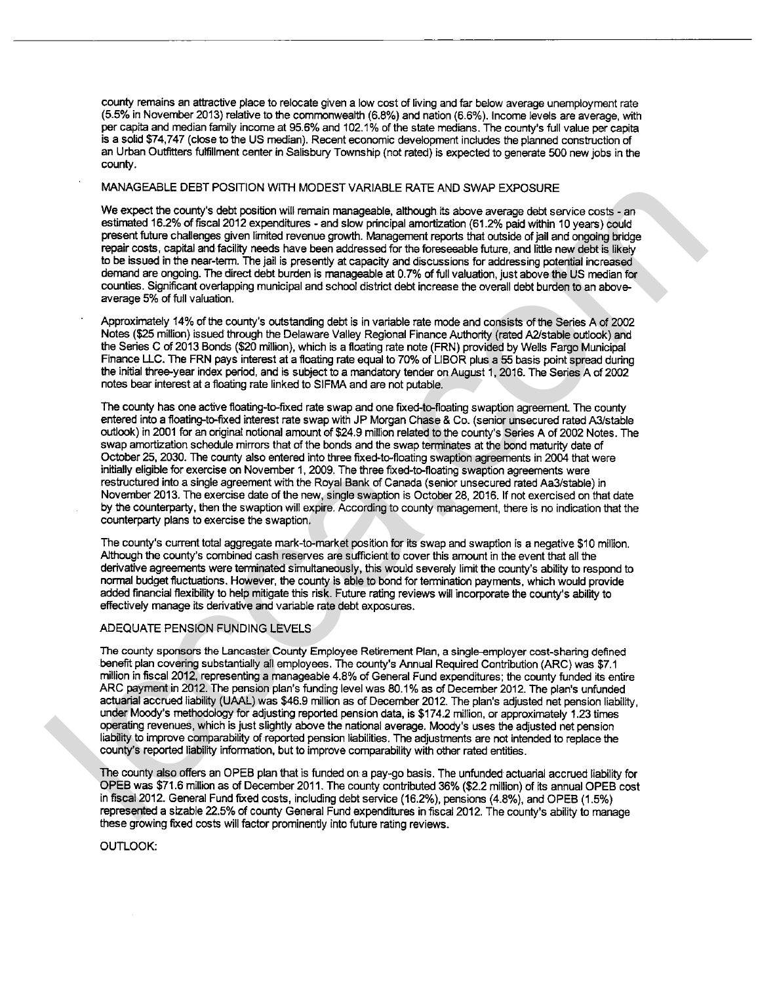county remains an attractive place to relocate given a low cost of living and far below average unemployment rate (5.5% in November 2013) relative to the commonwealth (6.8%) and nation (6.6%). Income levels are average, with per capita and median family income at 95.6% and 102.1% of the state medians. The county's full value per capita is a solid \$74,747 (close to the US median). Recent economic development includes the planned construction of an Urban Outfitters fulfillment center in Salisbury Township (not rated) is expected to generate 500 new jobs in the county.

#### MANAGEABLE DEBT POSITION WITH MODEST VARIABLE RATE AND SWAP EXPOSURE

We expect the county's debt position will remain manageable, although its above average debt service costs - an estimated 16.2% of fiscal 2012 expenditures - and slow principal amortization (61.2% paid within 10 years) could present future challenges given limited revenue growth. **Management** reports that outside of jail and ongoing bridge repair costs, capital and facility needs have been addressed for the foreseeable future, and little new debt is likely to be issued in the near-term. The jail is presently at capacity and discussions for addressing potential increased demand are ongoing. The direct debt burden is manageable at 0.7% of full valuation, just above the US median for counties. Significant overlapping municipal and school district debt increase the werall debt burden to an aboveaverage 5% of full valuation.

Approximately 14% of the county's outstanding debt is in variable rate mode and consists of the Series A of 2002 Notes (\$25 million) issued through the Delaware Valley Regional Finance Authonty (rated A215table outlook) and the Series C of 2013 Bonds (\$20 million), which is a floating rate note (FRN) provided by Wells Fargo Municipal Finance LC. The FRN pays interest at a floating rate equal to 70% of LIBOR plus **a** 55 basis point spread during the initial three-year index period, and is subject to a mandatory tender on August 1, 2016. The Series A of 2002 notes **bear** interest at a floating rate linked to SlFMA and are not putable.

The county has one active floating-to-fixed rate swap and one fixed-to-floating swaption agreement. The county entered into a floating-to-fixed interest rate swap with JP Morgan Chase & Co. (senior unsecured rated A3/stable **wtlook)** in 2001 for an original notional amount of \$24.9 million related to the county's Series A of 2002 Notes. The swap amortization schedule mirrors that of the bonds and the swap terminates at the bond maturity date of October 25,2030. The county also entered into three fixed-to-floating swaption agreements in 2004 that were initially eligible for exercise on November 1.2009. The three fixed-to-floating swaption agreements were restructured into a single agreement with the Royal Bank of Canada (senior unsecured rated Aa3lstable) in November 2013. The exercise date of the new, single swaption is October 28, 2016. If not exercised on that date by the counterparty, then the swaption will expire. According to county management, there is no indication that the counterparty plans to exercise the swaption. MANAGEME DESTIFOSITION with MODEST VARIABLE RATE AND SWAPP EXPOSURE THE MONESTER COMPARE INTERFERENCES (1965) The control of the state of the state of the state of the state of the state of the state of the state of the s

The county's current total aggregate mark-to-market position for its swap and swaption is a negative \$10 million. Although the county's combined cash reserves are sufficient to cover this amount in the event that all the derivative agreements were terminated simultaneously, this would severely limit the county's ability to respond to normal budget fluctuations. However, the county is able to bond for termination payments. which would provide added financial flexibility to help mitigate this risk. Future rating reviews will incorporate the county's ability to effectively manage **its** derivative and vanable rate debt exposures.

#### ADEQUATE PENSION FUNDING LEVELS

The county sponsors the Lancaster County Employee Retirement Plan, a single-employer cost-sharing defined benefit plan covering substantially all employees. The county's Annual Required Contribution (ARC) was \$7.1 million in fiscal 2012, representing a manageable 4.8% of General Fund expenditures; the county funded its entire ARC payment in 2012. The pension plan's funding level was 80.1% as of December 2012. The plan's unfunded actuarial accrued liability (UAAL) was \$46.9 million as of December 2012. The plan's adjusted net pension liability, under Moody's methodology for adjusting reported pension data, is \$174.2 million, or approximately 1.23 times operating revenues, which is just slightly above the national average. Moody's uses the adjusted net pension liability to improve comparability of reported pension liabilities. The adjustments are not intended to replace the county's reported liability information, but to improve comparability with other rated entities.

The county also offers an OPEB plan that is funded on a pay-go basis. The unfunded actuarial accrued liability for OPEB **was** \$71.6 million as of December 201 1. The county contributed 36% (\$2.2 million) of its annual OPEB cost in fiscal 2012. General Fund fixed costs, including debt service (16.2%), pensions (4.8%), and OPEB (1.5%) represented a sizable 22.5% of county General Fund expenditures in fiscal 2012. The county's ability to manage these growing fixed costs will factor prominently into future rating reviews.

OUTLOOK: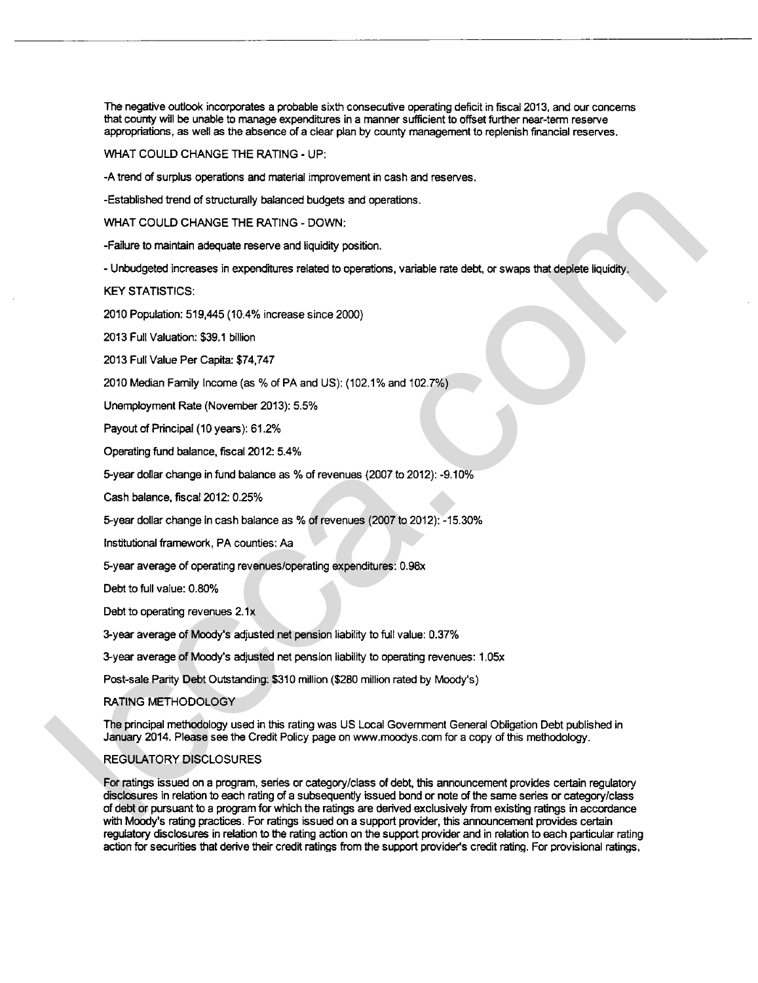The negative outlook incorporates a probable sixth consecutive operating deficit in fiscal 2013, and our concerns that county will be unable to manage expenditures in a manner sufficient to offset further near-term reserve appropriations, as well as the absence of a clear plan by county management to replenish financial reserves.

WHAT COULD CHANGE THE RATING - UP:

A trend of surplus operations and material improvement in cash and reserves.

-Established trend of structurally balanced budgets and operations.

WHAT COULD CHANGE THE RATING - DOWN:

-Failure to maintain adequate reserve and liquidity position.

- Unbudgeted increases in expenditures related to operations, variable rate debt, or swaps that deplete liquidity.

KEY STATISTICS:

2010 Population: 519,445 (10.4% increase since 2000)

2013 Full Valuation: \$39.1 billion

2013 Full Value Per Capita: \$74.747

2010 Median Family Income (as % of PA and US): (102.1% and 102.7%)

Unemployment Rate (November 2013): 5.5%

Payout of Principal (10 years): 61.2%

Operating fund balance, fiscal 2012: 5.4%

5-year dollar change in fund balance as % of revenues (2007 to 2012): -9.10%

Cash balance, fiscal 2012: 0.25%

5year dollar change in cash balance as % of revenues (2007 to 2012): -15.30%

Institutional framework, PA counties: Aa

5-year average of operating revenues/operating expenditures: 0.98x

Debt to full value: 0.80%

Debt to operating revenues 2.1x

3-year average of Moody's adjusted net pension liability to full value: 0.37%

3-year average of Moody's adjusted net pension liability to operating revenues: 1.05x

Post-sale Panty Debt Outstanding: \$310 million (\$280 million rated by Moody's)

RATING METHODOLOGY

The principal methodology used in this rating was US Local Government General Obligation Debt published in January 2014. Please see the Credit Policy page on www.moodys.com for a copy of this methodology.

#### REGULATORY DISCLOSURES

For ratings issued on a program, series or categorylclass of debt, this announcement provides certain regulatory disclosures in relation to each rating of a subsequently issued bond or note of the same series or categorylclass of debt or pursuant to a program for which the ratings are derived exclusively from existing ratings in accordance with Moody's rating practices. **For** ratings issued on a support provider, **this** announcement provides certain regulatory disclosures in relation to the rating action on the support provider and in relation to each particular rating action for securities that derive their credit ratings from the support provider's credit rating. For provisional ratings, -Elaboration of order of the matching balance of buying and considers.<br>
WHAT COULD CHANGE THE FATHION - DOWNE (Walliston, variable rate ostat or swapp that deplots build<br>
-Fature to matching about means on the products rel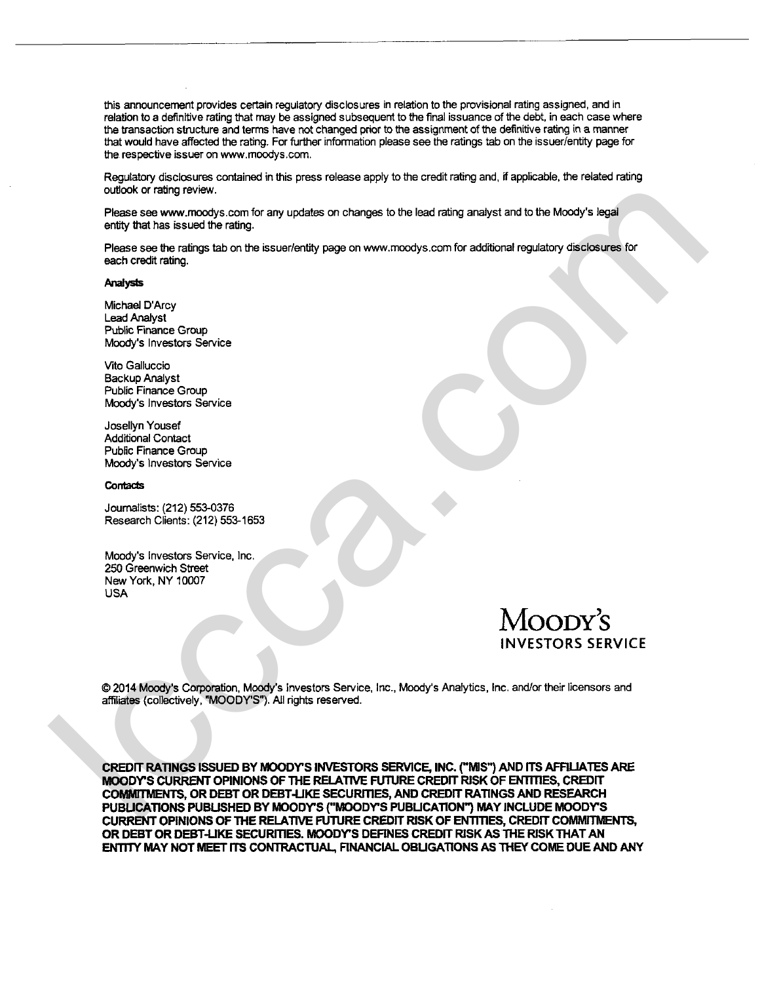this announcement provides certain regulatory disclosures in relation to the provisional rating assigned, and in relation to a definitive rating that may be assigned subsequent to the final issuance of the debt, in each case where the transaction structure and terms have not changed prior to the assignment of the definitive rating in **a** manner that would have affected the rating. For further information please see the ratings tab on the issuer/entity page for the respective issuer on www.moodys.com.

Regulatory disclosures contained in this press release apply to the credit rating and, if applicable, the related rating outlook or rating review.

Please see www.moodys.com for any updates on changes to the lead rating analyst and to the Moody's legal entity that has issued the rating.

Please see the ratings tab on the issuer/entity page on www.moodys.com for additional regulatory disclosures for each credit rating.

Michael D'Arcy Lead Analyst Public Finance Group Moody's lnvestors Service

Vito Galluccio Backup Analyst Public Finance Group Moody's lnvestors Service

Josellyn Yousef Additional Contact Public Finance Group Moody's Investors Service

#### **Contacts**

Journalists: (212) 553-0376 Research Clients: (212) 553-1653

Moody's lnvestors Service, Inc 250 Greenwich Street New York, NY 10007 USA

# **INVESTORS SERVICE**

**O** 2014 Moody's Corporation. Moody's lnvestors Service. Inc., Moody's Analytics, Inc. **and/or** their licensors and affiliates (collectively, "MOODY'S"). All rights reserved.

**CREDIT RATINGS ISSUED BY MOODY'S INVESTORS SERVlCE, INC. ("MIS") AND ITS AFFILIATES ARE MOODY'S CURRENT OPINIONS OF THE RELATIVE FUTURE CREDIT RISK OF EhTiTlES, CREDIT COMMITMENTS, OR DEBT OR DEBT-LIKE SECURITIES, AND CREDIT RATINGS AND RESEARCH WBUCATlONS PUBLISHED BY MOODY'S ("MOODY'S PUBLICATION") MAY INCLUDE MOODY'S CURRENT OPINIONS OF THE RELATIVE FUTURE CREDIT RISK OF ENTITIES, CREDIT COMMITMENTS,** OR DEBT OR DEBT-LIKE SECURITIES. MOODY'S DEFINES CREDIT RISK AS THE RISK THAT AN **ENmY MAY NOT MEET** ITS **CONTRACTUAL, FINANCIAL OBLIGATIONS AS THEY COME DUE AND ANY**  orient of microscopy and the animals on changes bitle lead rang analysis and bit but of microscopy<br>
Plays are www.mooky.com for any update on the age of the lead rang analysis and to be Mody's light<br>
Plays are the ratio or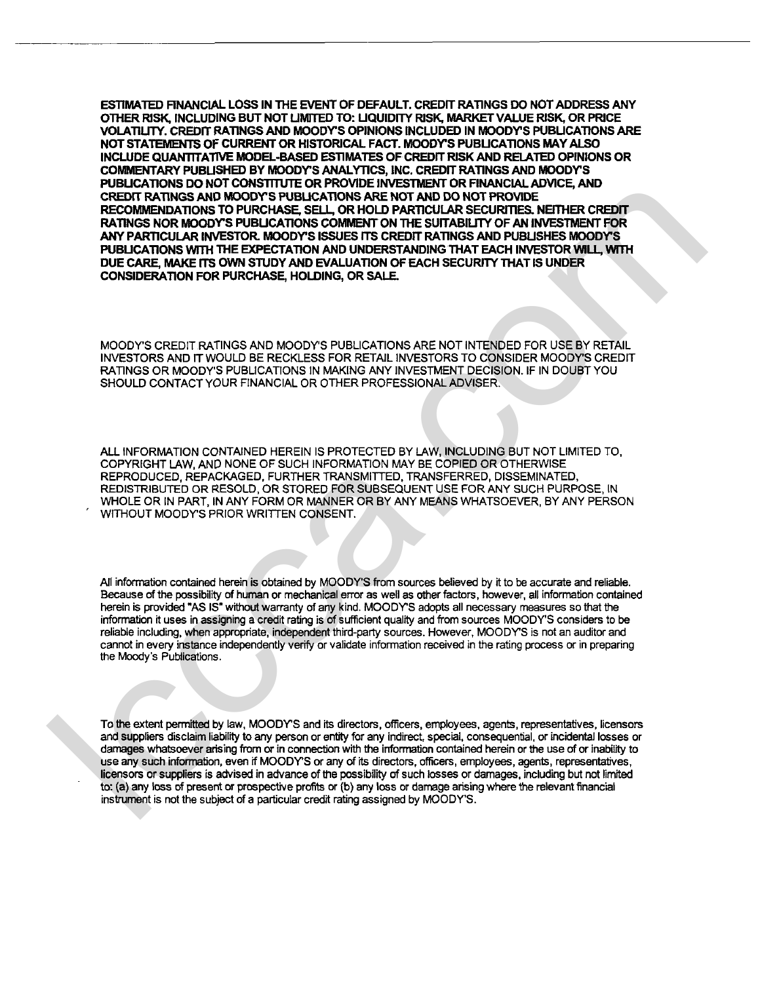ESTIMATED FINANCIAL LOSS IN THE EVENT OF DEFAULT. CREDIT RATINGS DO NOT ADDRESS ANY OTHER RISK, INCLUDING BUT NOT LIMITED TO: LIQUIDITY RISK, MARKET VALUE RISK, OR PRICE VOLATILITY. CREDIT RATINGS AND MOODYS OPINIONS INCLUDED IN MOODY'S PUBLICATIONS ARE NOT STATEMENTS OF CURRENT OR HISTORICAL FACT. MOODY'S PUBLICATIONS MAY ALSO INCLUDE QUANTITATIVE MODEL-BASED ESTIMATES OF CREDIT RISK AND RELATED OPINIONS OR COMMENTARY PUBLISHED BY MOODY'S **ANALYTICS,** INC. CREDIT RATINGS AND MOODY'S PUBLICATIONS DO NOT CONSTITUTE OR PROVIDE INVESTMENT OR FINANCIAL ADVICE, AND **CREDIT** RATINGS AND WDYS PUBLICATIONS ARE NOT AND DO NOT PROVIDE RECOMMENDATIONS TO PURCHASE SELL OR HOLD PARTICULAR SECURITIES NEITHER CREDIT RATINGS NOR MOODY'S PUBLICATIONS COMMENT ON THE SUITABILITY OF AN INVESTMENT FOR ANY PARTICULAR INVESTOR. MOODY'S ISSUES ITS CREDIT RATINGS AND PUBLISHES MOODY'S PUBLICATIONS WITH THE EXPECTATION AND UNDERSTANDING THAT EACH INVESTOR WILL, WITH DUE CARE. **MAKE** ITS OWN STUDY AND EVALUATION OF EACH SECURITY THAT IS UNDER CREAT WAND AND MODIVE PRIBATION (WITHOUT AND A DISCRETE PROFESSION CONTROLLAR SECURITY INTERFERENCE AND INCORPORATION CONTROLLAR SECURITY INTERFERENCE AND INCORPORATION OF A SECURITY THAT IS UNDER A MANUSCRIPT FOR MANUSCRI

MOODY'S CREDIT RATINGS AND MOODY'S PUBLICATIONS ARE NOT INTENDED FOR USE BY RETAIL INVESTORS AND TT WOULD BE RECKLESS FOR RETAIL INVESTORS TO CONSIDER MOODY'S CREDIT RATINGS OR MOODY'S PUBLICATIONS IN MAKING ANY INVESTMENT DECISION. IF IN DOUBTYOU SHOULD CONTACT YOUR FINANCIAL OR OTHER PROFESSIONAL ADVISER.

**ALL** INFORMATION CONTAINED HEREIN IS PROTECTED BY LAW. INCLUDING BUT NOT LIMITED TO. COPYRIGHT LAW, AND NONE OF SUCH INFORMATION MAY BE COPIED OR OTHERWISE REPRODUCED, REPACKAGED, FURTHER TRANSMITTED, TRANSFERRED, DISSEMINATED, REDISTRIBUTED OR RESOLD, OR STORED FOR SUBSEQUENT USE FOR ANY SUCH PURPOSE, IN WHOLE OR IN PART, IN ANY FORM OR MANNER OR BY ANY MEANS WHATSOEVER, BY ANY PERSON WITHOUT MOODY'S PRIOR WRITTEN CONSENT.

All information contained herein is obtained by MOODY'S from sources believed by it to be accurate and reliable. Because of the possibility of human or mechanical error as well as other factors, however, all information contained herein is provided "AS IS" without warranty of any kind. MOODY'S adopts all necessary measures so that the information it uses in assigning a credit rating is of sufficient quality and from sources MOODY'S considers to be reliable including, when appropriate, independent third-party sources. However, MOODY'S is not an auditor and cannot in every instance independently verify or validate information received in the rating process **or** in preparing the Moody's Publications.

To **the** extent **permitted** by law, MOODY'S and its directors, officers, employees, agents, representatives, licensors and suppliers disclaim liability to any person or entity for any indirect, special, consequential, or incidental losses or damages **whatsoever** arising from or in connection with the information contained herein or the use of or inability to use any such information, even if MOODYS or any of its directors, officers, employees, agents, representatives, licensors or suppliers is advised in advance of the possibility of such losses or damages, including but not limited to: (a) any loss of present **or** prospective profits **or** (b) any loss **or** damage arising where the relevant financial instrument is not the subject of a particular credit rating assigned by MOODY'S.